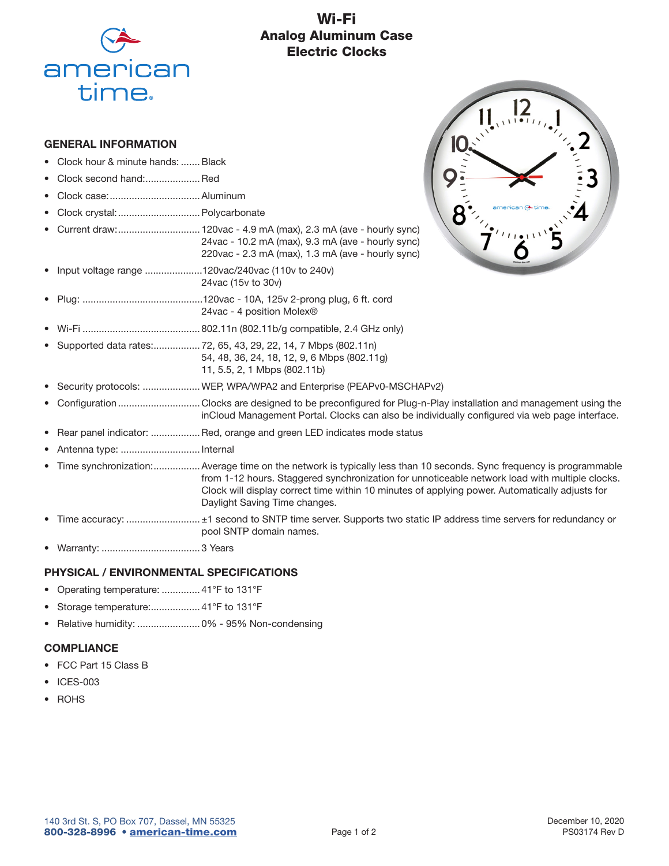

# Wi-Fi Analog Aluminum Case Electric Clocks

#### GENERAL INFORMATION

- Clock hour & minute hands: ....... Black
- Clock second hand: ..................... Red
- Clock case: .................................Aluminum
- Clock crystal: ..............................Polycarbonate
- Current draw: .............................. 120vac 4.9 mA (max), 2.3 mA (ave hourly sync) 24vac - 10.2 mA (max), 9.3 mA (ave - hourly sync) 220vac - 2.3 mA (max), 1.3 mA (ave - hourly sync)
- Input voltage range .....................120vac/240vac (110v to 240v) 24vac (15v to 30v)
- Plug: ............................................120vac 10A, 125v 2-prong plug, 6 ft. cord 24vac - 4 position Molex®
- Wi-Fi ........................................... 802.11n (802.11b/g compatible, 2.4 GHz only)
- Supported data rates: ................. 72, 65, 43, 29, 22, 14, 7 Mbps (802.11n) 54, 48, 36, 24, 18, 12, 9, 6 Mbps (802.11g) 11, 5.5, 2, 1 Mbps (802.11b)
- $\prod_{n=1}^{\infty} \prod_{i=1}^{n}$

- Security protocols: .....................WEP, WPA/WPA2 and Enterprise (PEAPv0-MSCHAPv2)
- Configuration .............................. Clocks are designed to be preconfigured for Plug-n-Play installation and management using the inCloud Management Portal. Clocks can also be individually configured via web page interface.
- Rear panel indicator: .................. Red, orange and green LED indicates mode status
- Antenna type: ............................. Internal
- Time synchronization: .................Average time on the network is typically less than 10 seconds. Sync frequency is programmable from 1-12 hours. Staggered synchronization for unnoticeable network load with multiple clocks. Clock will display correct time within 10 minutes of applying power. Automatically adjusts for Daylight Saving Time changes.
- Time accuracy: ........................... ±1 second to SNTP time server. Supports two static IP address time servers for redundancy or pool SNTP domain names.
- Warranty: .................................... 3 Years

### PHYSICAL / ENVIRONMENTAL SPECIFICATIONS

- Operating temperature: .............. 41°F to 131°F
- Storage temperature:.................. 41°F to 131°F
- Relative humidity: ....................... 0% 95% Non-condensing

#### **COMPLIANCE**

- FCC Part 15 Class B
- ICES-003
- ROHS